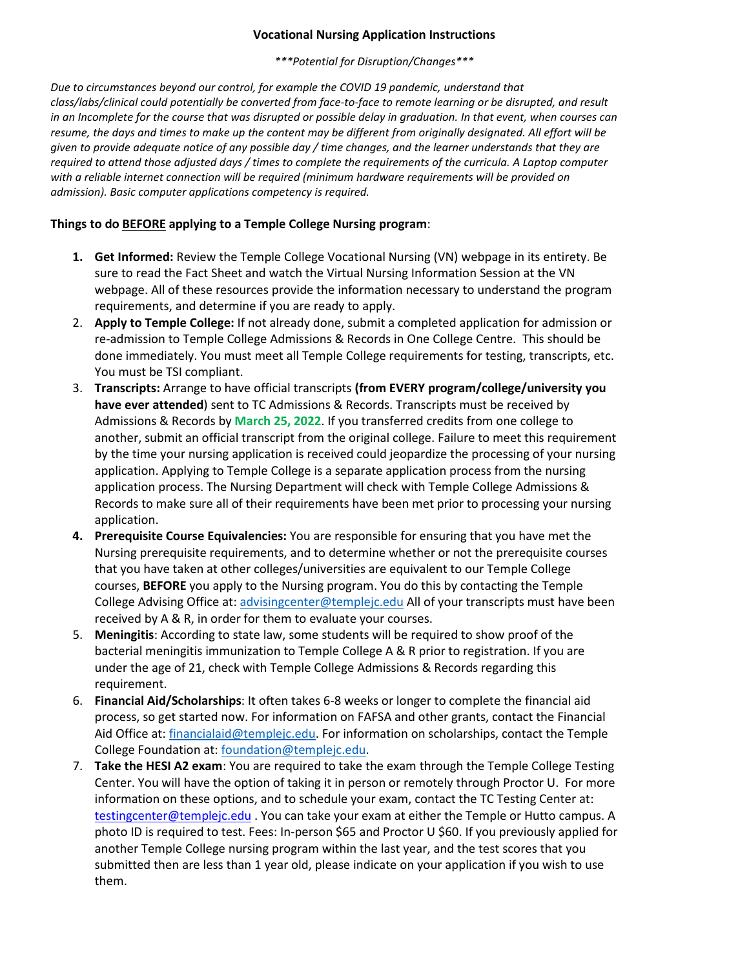## **Vocational Nursing Application Instructions**

*\*\*\*Potential for Disruption/Changes\*\*\**

*Due to circumstances beyond our control, for example the COVID 19 pandemic, understand that class/labs/clinical could potentially be converted from face-to-face to remote learning or be disrupted, and result in an Incomplete for the course that was disrupted or possible delay in graduation. In that event, when courses can resume, the days and times to make up the content may be different from originally designated. All effort will be given to provide adequate notice of any possible day / time changes, and the learner understands that they are required to attend those adjusted days / times to complete the requirements of the curricula. A Laptop computer with a reliable internet connection will be required (minimum hardware requirements will be provided on admission). Basic computer applications competency is required.*

## **Things to do BEFORE applying to a Temple College Nursing program**:

- **1. Get Informed:** Review the Temple College Vocational Nursing (VN) webpage in its entirety. Be sure to read the Fact Sheet and watch the Virtual Nursing Information Session at the VN webpage. All of these resources provide the information necessary to understand the program requirements, and determine if you are ready to apply.
- 2. **Apply to Temple College:** If not already done, submit a completed application for admission or re-admission to Temple College Admissions & Records in One College Centre. This should be done immediately. You must meet all Temple College requirements for testing, transcripts, etc. You must be TSI compliant.
- 3. **Transcripts:** Arrange to have official transcripts **(from EVERY program/college/university you have ever attended**) sent to TC Admissions & Records. Transcripts must be received by Admissions & Records by **March 25, 2022**. If you transferred credits from one college to another, submit an official transcript from the original college. Failure to meet this requirement by the time your nursing application is received could jeopardize the processing of your nursing application. Applying to Temple College is a separate application process from the nursing application process. The Nursing Department will check with Temple College Admissions & Records to make sure all of their requirements have been met prior to processing your nursing application.
- **4. Prerequisite Course Equivalencies:** You are responsible for ensuring that you have met the Nursing prerequisite requirements, and to determine whether or not the prerequisite courses that you have taken at other colleges/universities are equivalent to our Temple College courses, **BEFORE** you apply to the Nursing program. You do this by contacting the Temple College Advising Office at: [advisingcenter@templejc.edu](mailto:advisingcenter@templejc.edu) All of your transcripts must have been received by A & R, in order for them to evaluate your courses.
- 5. **Meningitis**: According to state law, some students will be required to show proof of the bacterial meningitis immunization to Temple College A & R prior to registration. If you are under the age of 21, check with Temple College Admissions & Records regarding this requirement.
- 6. **Financial Aid/Scholarships**: It often takes 6-8 weeks or longer to complete the financial aid process, so get started now. For information on FAFSA and other grants, contact the Financial Aid Office at: financialaid@templejc.edu. For information on scholarships, contact the Temple College Foundation at: [foundation@templejc.edu.](mailto:foundation@templejc.edu)
- 7. **Take the HESI A2 exam**: You are required to take the exam through the Temple College Testing Center. You will have the option of taking it in person or remotely through Proctor U. For more information on these options, and to schedule your exam, contact the TC Testing Center at: [testingcenter@templejc.edu](mailto:testingcenter@templejc.edu) . You can take your exam at either the Temple or Hutto campus. A photo ID is required to test. Fees: In-person \$65 and Proctor U \$60. If you previously applied for another Temple College nursing program within the last year, and the test scores that you submitted then are less than 1 year old, please indicate on your application if you wish to use them.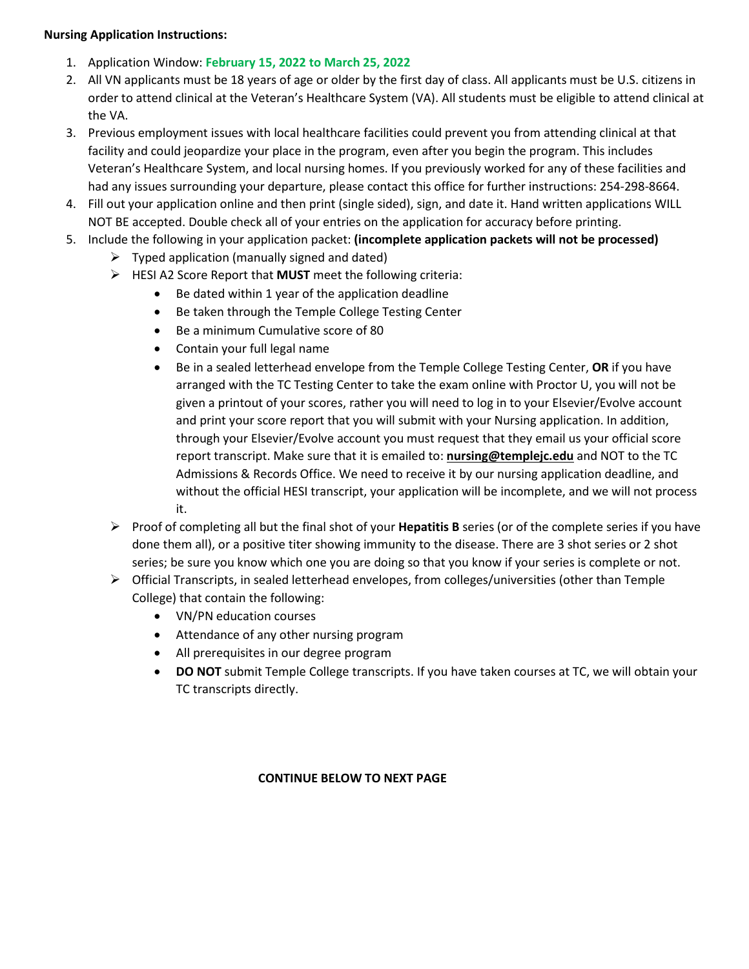## **Nursing Application Instructions:**

- 1. Application Window: **February 15, 2022 to March 25, 2022**
- 2. All VN applicants must be 18 years of age or older by the first day of class. All applicants must be U.S. citizens in order to attend clinical at the Veteran's Healthcare System (VA). All students must be eligible to attend clinical at the VA.
- 3. Previous employment issues with local healthcare facilities could prevent you from attending clinical at that facility and could jeopardize your place in the program, even after you begin the program. This includes Veteran's Healthcare System, and local nursing homes. If you previously worked for any of these facilities and had any issues surrounding your departure, please contact this office for further instructions: 254-298-8664.
- 4. Fill out your application online and then print (single sided), sign, and date it. Hand written applications WILL NOT BE accepted. Double check all of your entries on the application for accuracy before printing.
- 5. Include the following in your application packet: **(incomplete application packets will not be processed)**
	- $\triangleright$  Typed application (manually signed and dated)
	- HESI A2 Score Report that **MUST** meet the following criteria:
		- Be dated within 1 year of the application deadline
		- Be taken through the Temple College Testing Center
		- Be a minimum Cumulative score of 80
		- Contain your full legal name
		- Be in a sealed letterhead envelope from the Temple College Testing Center, **OR** if you have arranged with the TC Testing Center to take the exam online with Proctor U, you will not be given a printout of your scores, rather you will need to log in to your Elsevier/Evolve account and print your score report that you will submit with your Nursing application. In addition, through your Elsevier/Evolve account you must request that they email us your official score report transcript. Make sure that it is emailed to: **[nursing@templejc.edu](mailto:nursing@templejc.edu)** and NOT to the TC Admissions & Records Office. We need to receive it by our nursing application deadline, and without the official HESI transcript, your application will be incomplete, and we will not process it.
	- Proof of completing all but the final shot of your **Hepatitis B** series (or of the complete series if you have done them all), or a positive titer showing immunity to the disease. There are 3 shot series or 2 shot series; be sure you know which one you are doing so that you know if your series is complete or not.
	- $\triangleright$  Official Transcripts, in sealed letterhead envelopes, from colleges/universities (other than Temple College) that contain the following:
		- VN/PN education courses
		- Attendance of any other nursing program
		- All prerequisites in our degree program
		- **DO NOT** submit Temple College transcripts. If you have taken courses at TC, we will obtain your TC transcripts directly.

## **CONTINUE BELOW TO NEXT PAGE**